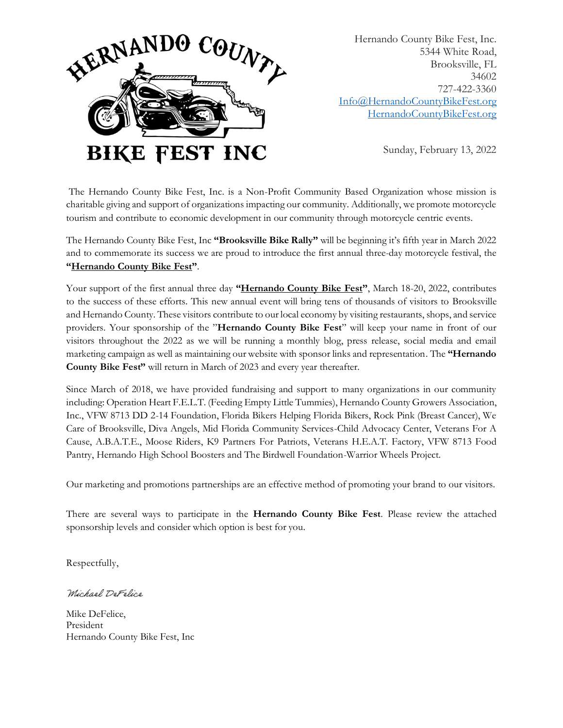

Hernando County Bike Fest, Inc. 5344 White Road, Brooksville, FL 34602 727-422-3360 [Info@HernandoCountyBikeFest.org](mailto:Info@HernandoCountyBikeFest.org) [HernandoCountyBikeFest.org](http://www.brooksvillebikerally.com/)

Sunday, February 13, 2022

The Hernando County Bike Fest, Inc. is a Non-Profit Community Based Organization whose mission is charitable giving and support of organizations impacting our community. Additionally, we promote motorcycle tourism and contribute to economic development in our community through motorcycle centric events.

The Hernando County Bike Fest, Inc **"Brooksville Bike Rally"** will be beginning it's fifth year in March 2022 and to commemorate its success we are proud to introduce the first annual three-day motorcycle festival, the **"Hernando County Bike Fest"**.

Your support of the first annual three day **"Hernando County Bike Fest"**, March 18-20, 2022, contributes to the success of these efforts. This new annual event will bring tens of thousands of visitors to Brooksville and Hernando County. These visitors contribute to our local economy by visiting restaurants, shops, and service providers. Your sponsorship of the "**Hernando County Bike Fest**" will keep your name in front of our visitors throughout the 2022 as we will be running a monthly blog, press release, social media and email marketing campaign as well as maintaining our website with sponsor links and representation. The **"Hernando County Bike Fest"** will return in March of 2023 and every year thereafter.

Since March of 2018, we have provided fundraising and support to many organizations in our community including: Operation Heart F.E.L.T. (Feeding Empty Little Tummies), Hernando County Growers Association, Inc., VFW 8713 DD 2-14 Foundation, Florida Bikers Helping Florida Bikers, Rock Pink (Breast Cancer), We Care of Brooksville, Diva Angels, Mid Florida Community Services-Child Advocacy Center, Veterans For A Cause, A.B.A.T.E., Moose Riders, K9 Partners For Patriots, Veterans H.E.A.T. Factory, VFW 8713 Food Pantry, Hernando High School Boosters and The Birdwell Foundation-Warrior Wheels Project.

Our marketing and promotions partnerships are an effective method of promoting your brand to our visitors.

There are several ways to participate in the **Hernando County Bike Fest**. Please review the attached sponsorship levels and consider which option is best for you.

Respectfully,

Michael DeFelice

Mike DeFelice, President Hernando County Bike Fest, Inc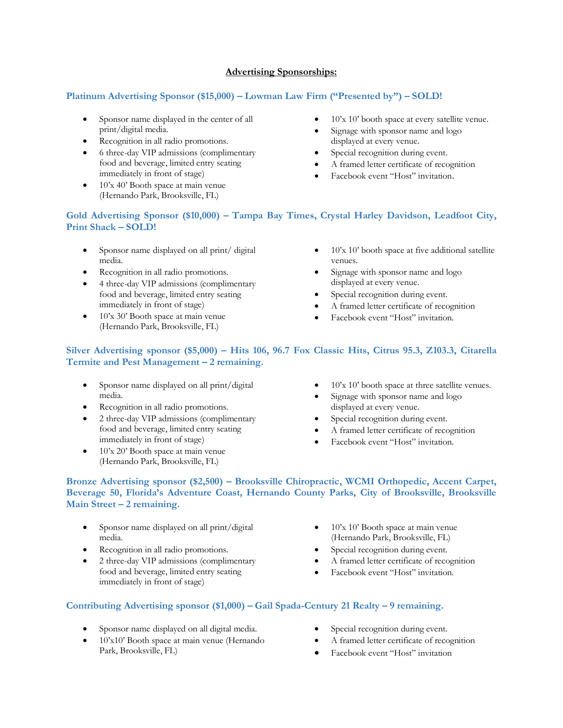#### **Advertising Sponsorships:**

### **Platinum Advertising Sponsor (\$15,000) – Lowman Law Firm ("Presented by") – SOLD!**

- Sponsor name displayed in the center of all print/digital media.
- Recognition in all radio promotions.
- 6 three-day VIP admissions (complimentary food and beverage, limited entry seating immediately in front of stage)
- $\bullet$  10'x 40' Booth space at main venue (Hernando Park, Brooksville, FL)
- 10'x 10' booth space at every satellite venue.
- Signage with sponsor name and logo displayed at every venue.
- Special recognition during event.
- A framed letter certificate of recognition
- Facebook event "Host" invitation.

## **Gold Advertising Sponsor (\$10,000) – Tampa Bay Times, Crystal Harley Davidson, Leadfoot City, Print Shack – SOLD!**

- Sponsor name displayed on all print/ digital media.
- Recognition in all radio promotions.
- 4 three-day VIP admissions (complimentary food and beverage, limited entry seating immediately in front of stage)
- 10'x 30' Booth space at main venue (Hernando Park, Brooksville, FL)
- $10'x$  10' booth space at five additional satellite venues.
- Signage with sponsor name and logo displayed at every venue.
- Special recognition during event.
- A framed letter certificate of recognition
- Facebook event "Host" invitation.

## **Silver Advertising sponsor (\$5,000) – Hits 106, 96.7 Fox Classic Hits, Citrus 95.3, Z103.3, Citarella Termite and Pest Management – 2 remaining.**

- Sponsor name displayed on all print/digital media.
- Recognition in all radio promotions.
- 2 three-day VIP admissions (complimentary food and beverage, limited entry seating immediately in front of stage)
- 10'x 20' Booth space at main venue (Hernando Park, Brooksville, FL)
- 10'x 10' booth space at three satellite venues.
- Signage with sponsor name and logo displayed at every venue.
- Special recognition during event.
- A framed letter certificate of recognition
- Facebook event "Host" invitation.

#### **Bronze Advertising sponsor (\$2,500) – Brooksville Chiropractic, WCMI Orthopedic, Accent Carpet, Beverage 50, Florida's Adventure Coast, Hernando County Parks, City of Brooksville, Brooksville Main Street – 2 remaining.**

- Sponsor name displayed on all print/digital media.
- Recognition in all radio promotions.
- 2 three-day VIP admissions (complimentary food and beverage, limited entry seating immediately in front of stage)
- 10'x 10' Booth space at main venue (Hernando Park, Brooksville, FL)
- Special recognition during event.
- A framed letter certificate of recognition
- Facebook event "Host" invitation.

## **Contributing Advertising sponsor (\$1,000) – Gail Spada-Century 21 Realty – 9 remaining.**

- Sponsor name displayed on all digital media.
- 10'x10' Booth space at main venue (Hernando Park, Brooksville, FL)
- Special recognition during event.
- A framed letter certificate of recognition
- Facebook event "Host" invitation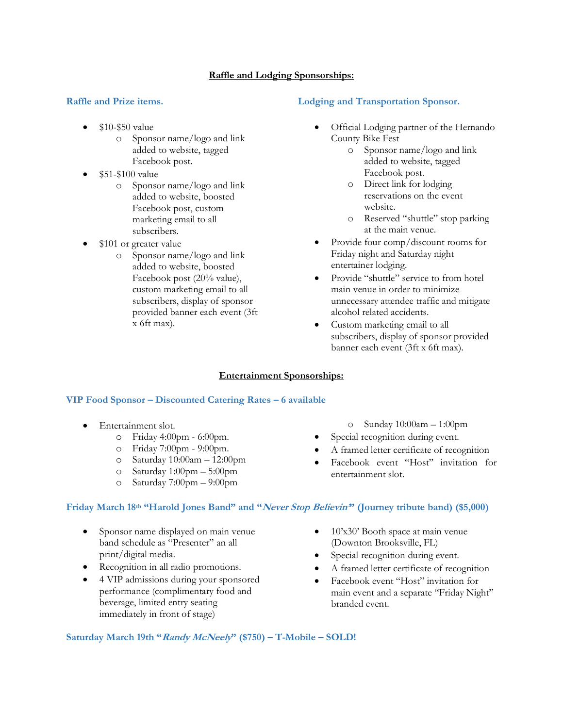## **Raffle and Lodging Sponsorships:**

## **Raffle and Prize items.**

- \$10-\$50 value
	- o Sponsor name/logo and link added to website, tagged Facebook post.
- \$51-\$100 value
	- o Sponsor name/logo and link added to website, boosted Facebook post, custom marketing email to all subscribers.
- \$101 or greater value
	- o Sponsor name/logo and link added to website, boosted Facebook post (20% value), custom marketing email to all subscribers, display of sponsor provided banner each event (3ft x 6ft max).

## **Lodging and Transportation Sponsor.**

- Official Lodging partner of the Hernando County Bike Fest
	- o Sponsor name/logo and link added to website, tagged Facebook post.
	- o Direct link for lodging reservations on the event website.
	- o Reserved "shuttle" stop parking at the main venue.
- Provide four comp/discount rooms for Friday night and Saturday night entertainer lodging.
- Provide "shuttle" service to from hotel main venue in order to minimize unnecessary attendee traffic and mitigate alcohol related accidents.
- Custom marketing email to all subscribers, display of sponsor provided banner each event (3ft x 6ft max).

o Sunday 10:00am – 1:00pm Special recognition during event.

• A framed letter certificate of recognition • Facebook event "Host" invitation for

## **Entertainment Sponsorships:**

## **VIP Food Sponsor – Discounted Catering Rates – 6 available**

- Entertainment slot.
	- o Friday 4:00pm 6:00pm.
	- o Friday 7:00pm 9:00pm.
	- o Saturday  $10:00$ am 12:00pm
	- o Saturday 1:00pm 5:00pm
	- o Saturday 7:00pm 9:00pm

# **Friday March 18th "Harold Jones Band" and "Never Stop Believin'" (Journey tribute band) (\$5,000)**

- Sponsor name displayed on main venue band schedule as "Presenter" an all print/digital media.
- Recognition in all radio promotions.
- 4 VIP admissions during your sponsored performance (complimentary food and beverage, limited entry seating immediately in front of stage)
- 10'x30' Booth space at main venue (Downton Brooksville, FL)
- Special recognition during event.

entertainment slot.

- A framed letter certificate of recognition
- Facebook event "Host" invitation for main event and a separate "Friday Night" branded event.

**Saturday March 19th "Randy McNeely" (\$750) – T-Mobile – SOLD!**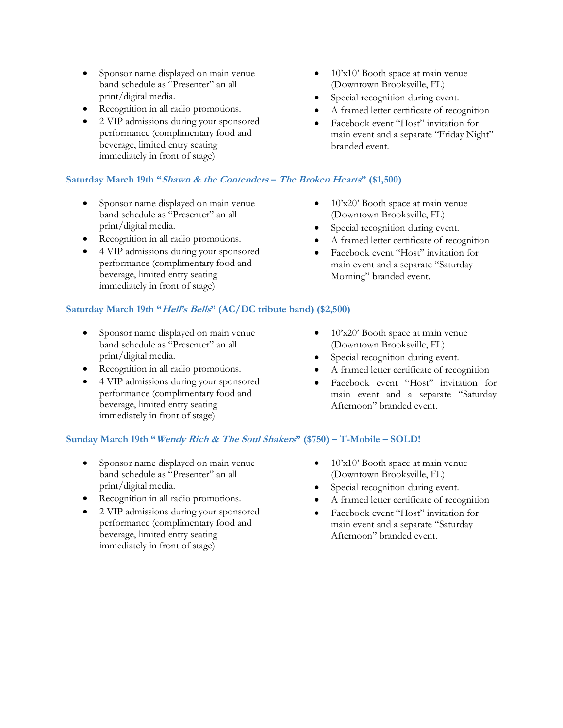- Sponsor name displayed on main venue band schedule as "Presenter" an all print/digital media.
- Recognition in all radio promotions.
- 2 VIP admissions during your sponsored performance (complimentary food and beverage, limited entry seating immediately in front of stage)

# **Saturday March 19th "Shawn & the Contenders – The Broken Hearts" (\$1,500)**

- Sponsor name displayed on main venue band schedule as "Presenter" an all print/digital media.
- Recognition in all radio promotions.
- 4 VIP admissions during your sponsored performance (complimentary food and beverage, limited entry seating immediately in front of stage)

## **Saturday March 19th "Hell's Bells" (AC/DC tribute band) (\$2,500)**

- Sponsor name displayed on main venue band schedule as "Presenter" an all print/digital media.
- Recognition in all radio promotions.
- 4 VIP admissions during your sponsored performance (complimentary food and beverage, limited entry seating immediately in front of stage)
- 10'x10' Booth space at main venue (Downtown Brooksville, FL)
- Special recognition during event.
- A framed letter certificate of recognition
- Facebook event "Host" invitation for main event and a separate "Friday Night" branded event.
- 10'x20' Booth space at main venue (Downtown Brooksville, FL)
- Special recognition during event.
- A framed letter certificate of recognition
- Facebook event "Host" invitation for main event and a separate "Saturday Morning" branded event.
- 10'x20' Booth space at main venue (Downtown Brooksville, FL)
- Special recognition during event.
- A framed letter certificate of recognition
- Facebook event "Host" invitation for main event and a separate "Saturday Afternoon" branded event.

## **Sunday March 19th "Wendy Rich & The Soul Shakers" (\$750) – T-Mobile – SOLD!**

- Sponsor name displayed on main venue band schedule as "Presenter" an all print/digital media.
- Recognition in all radio promotions.
- 2 VIP admissions during your sponsored performance (complimentary food and beverage, limited entry seating immediately in front of stage)
- $10x10$ ' Booth space at main venue (Downtown Brooksville, FL)
- Special recognition during event.
- A framed letter certificate of recognition
- Facebook event "Host" invitation for main event and a separate "Saturday Afternoon" branded event.